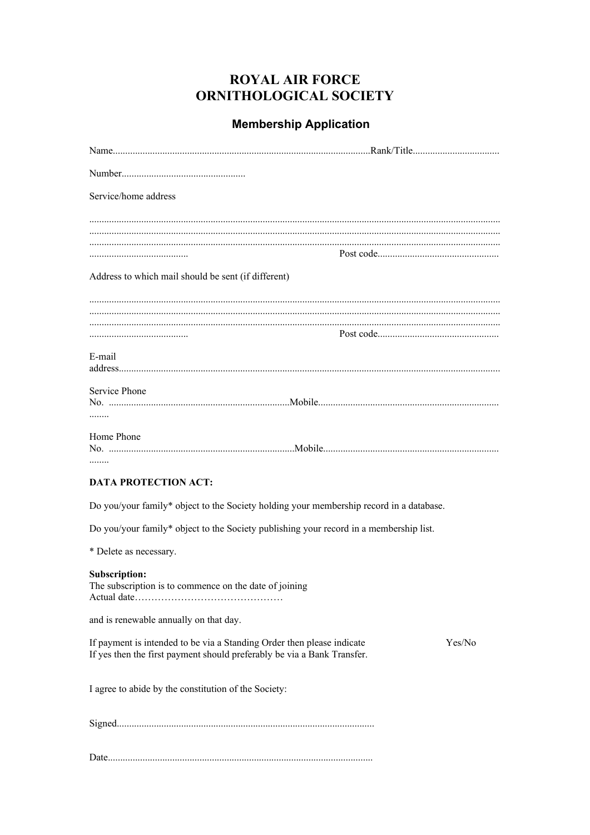## **ROYAL AIR FORCE** ORNITHOLOGICAL SOCIETY

## **Membership Application**

| Service/home address                                                                                                                                        |  |
|-------------------------------------------------------------------------------------------------------------------------------------------------------------|--|
|                                                                                                                                                             |  |
|                                                                                                                                                             |  |
| Address to which mail should be sent (if different)                                                                                                         |  |
|                                                                                                                                                             |  |
|                                                                                                                                                             |  |
| E-mail                                                                                                                                                      |  |
| Service Phone<br>                                                                                                                                           |  |
| Home Phone<br>                                                                                                                                              |  |
| <b>DATA PROTECTION ACT:</b>                                                                                                                                 |  |
| Do you/your family* object to the Society holding your membership record in a database.                                                                     |  |
| Do you/your family* object to the Society publishing your record in a membership list.                                                                      |  |
| * Delete as necessary.                                                                                                                                      |  |
| <b>Subscription:</b><br>The subscription is to commence on the date of joining                                                                              |  |
| and is renewable annually on that day.                                                                                                                      |  |
| If payment is intended to be via a Standing Order then please indicate<br>Yes/No<br>If yes then the first payment should preferably be via a Bank Transfer. |  |
| I agree to abide by the constitution of the Society:                                                                                                        |  |
|                                                                                                                                                             |  |
|                                                                                                                                                             |  |